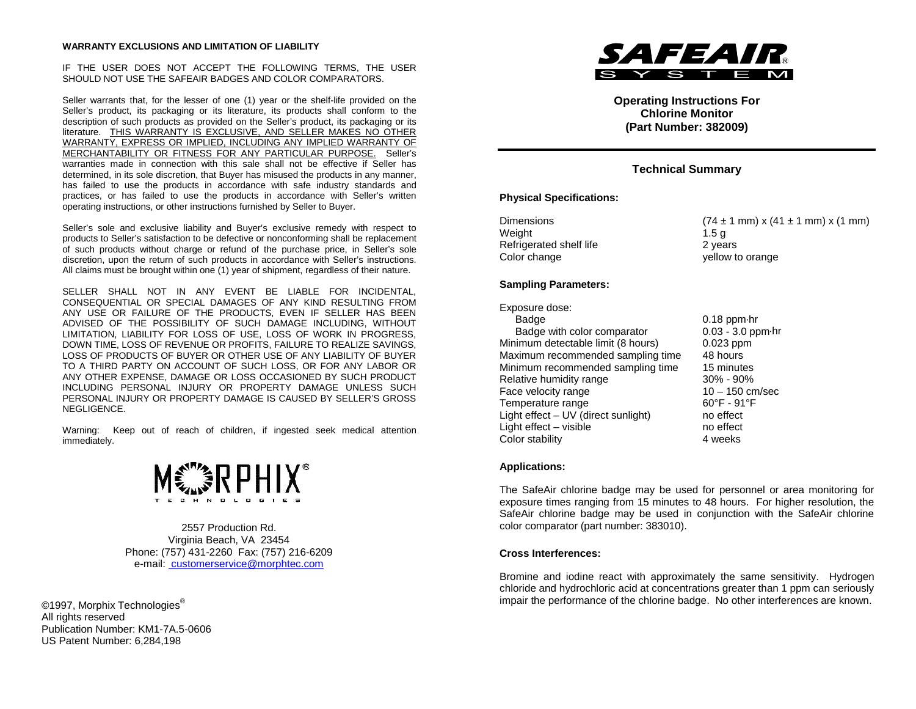#### **WARRANTY EXCLUSIONS AND LIMITATION OF LIABILITY**

#### IF THE USER DOES NOT ACCEPT THE FOLLOWING TERMS, THE USER SHOULD NOT USE THE SAFEAIR BADGES AND COLOR COMPARATORS.

Seller warrants that, for the lesser of one (1) year or the shelf-life provided on the Seller's product, its packaging or its literature, its products shall conform to the description of such products as provided on the Seller's product, its packaging or its literature. THIS WARRANTY IS EXCLUSIVE, AND SELLER MAKES NO OTHER WARRANTY, EXPRESS OR IMPLIED, INCLUDING ANY IMPLIED WARRANTY OF MERCHANTABILITY OR FITNESS FOR ANY PARTICULAR PURPOSE. Seller's warranties made in connection with this sale shall not be effective if Seller has determined, in its sole discretion, that Buyer has misused the products in any manner, has failed to use the products in accordance with safe industry standards and practices, or has failed to use the products in accordance with Seller's written operating instructions, or other instructions furnished by Seller to Buyer.

Seller's sole and exclusive liability and Buyer's exclusive remedy with respect to products to Seller's satisfaction to be defective or nonconforming shall be replacement of such products without charge or refund of the purchase price, in Seller's sole discretion, upon the return of such products in accordance with Seller's instructions. All claims must be brought within one (1) year of shipment, regardless of their nature.

SELLER SHALL NOT IN ANY EVENT BE LIABLE FOR INCIDENTAL, CONSEQUENTIAL OR SPECIAL DAMAGES OF ANY KIND RESULTING FROM ANY USE OR FAILURE OF THE PRODUCTS, EVEN IF SELLER HAS BEEN ADVISED OF THE POSSIBILITY OF SUCH DAMAGE INCLUDING, WITHOUT LIMITATION, LIABILITY FOR LOSS OF USE, LOSS OF WORK IN PROGRESS, DOWN TIME, LOSS OF REVENUE OR PROFITS, FAILURE TO REALIZE SAVINGS, LOSS OF PRODUCTS OF BUYER OR OTHER USE OF ANY LIABILITY OF BUYER TO A THIRD PARTY ON ACCOUNT OF SUCH LOSS, OR FOR ANY LABOR OR ANY OTHER EXPENSE, DAMAGE OR LOSS OCCASIONED BY SUCH PRODUCT INCLUDING PERSONAL INJURY OR PROPERTY DAMAGE UNLESS SUCH PERSONAL INJURY OR PROPERTY DAMAGE IS CAUSED BY SELLER'S GROSS NEGLIGENCE.

Warning: Keep out of reach of children, if ingested seek medical attention immediately.



2557 Production Rd. Virginia Beach, VA 23454 Phone: (757) 431-2260 Fax: (757) 216-6209 e-mail: customerservice@morphtec.com

©1997, Morphix Technologies<sup>®</sup> All rights reserved Publication Number: KM1-7A.5-0606 US Patent Number: 6,284,198



**Operating Instructions For Chlorine Monitor (Part Number: 382009)**

# **Technical Summary**

### **Physical Specifications:**

| Dimensions              | $(74 \pm 1 \text{ mm}) \times (41 \pm 1 \text{ mm}) \times (1 \text{ mm})$ |
|-------------------------|----------------------------------------------------------------------------|
| Weight                  | 1.5 a                                                                      |
| Refrigerated shelf life | 2 years                                                                    |
| Color change            | yellow to orange                                                           |

### **Sampling Parameters:**

Exposure dose: Badge 1.18 ppm⋅hr<br>Badge with color comparator 6.003 - 3.0 ppm⋅hr Badge with color comparator Minimum detectable limit (8 hours) 0.023 ppm Maximum recommended sampling time 48 hours Minimum recommended sampling time 15 minutes<br>Relative humidity range 190% - 90% Relative humidity range  $\begin{array}{ccc} 30\% & -90\% \\ \text{Face velocity range} & & 10 - 150 \text{ cm/sec} \end{array}$ Face velocity range Temperature range 60°F - 91°F Light effect – UV (direct sunlight) no effect<br>
Light effect – visible no effect Light effect  $-$  visible Color stability **4** weeks

### **Applications:**

The SafeAir chlorine badge may be used for personnel or area monitoring for exposure times ranging from 15 minutes to 48 hours. For higher resolution, the SafeAir chlorine badge may be used in conjunction with the SafeAir chlorine color comparator (part number: 383010).

### **Cross Interferences:**

Bromine and iodine react with approximately the same sensitivity. Hydrogen chloride and hydrochloric acid at concentrations greater than 1 ppm can seriously impair the performance of the chlorine badge. No other interferences are known.